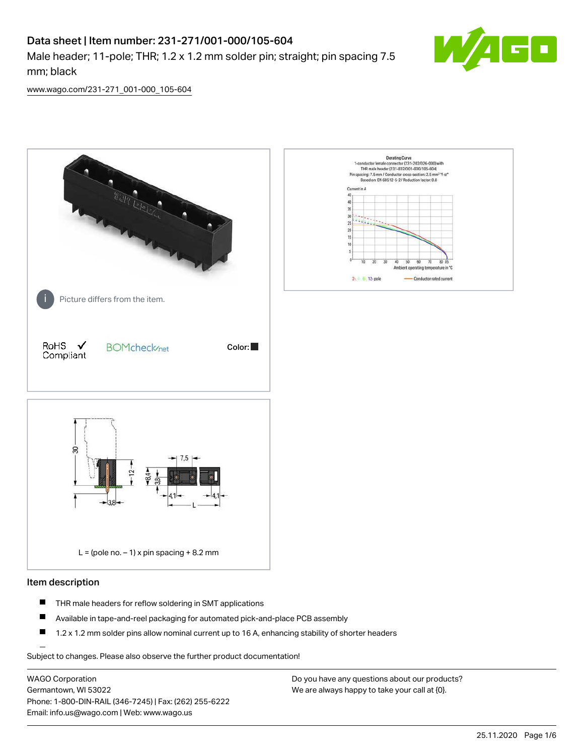# Data sheet | Item number: 231-271/001-000/105-604

Male header; 11-pole; THR; 1.2 x 1.2 mm solder pin; straight; pin spacing 7.5 mm; black



[www.wago.com/231-271\\_001-000\\_105-604](http://www.wago.com/231-271_001-000_105-604)



#### Item description

- $\blacksquare$ THR male headers for reflow soldering in SMT applications
- $\blacksquare$ Available in tape-and-reel packaging for automated pick-and-place PCB assembly
- $\blacksquare$ 1.2 x 1.2 mm solder pins allow nominal current up to 16 A, enhancing stability of shorter headers

Subject to changes. Please also observe the further product documentation!

WAGO Corporation Germantown, WI 53022 Phone: 1-800-DIN-RAIL (346-7245) | Fax: (262) 255-6222 Email: info.us@wago.com | Web: www.wago.us

Do you have any questions about our products? We are always happy to take your call at {0}.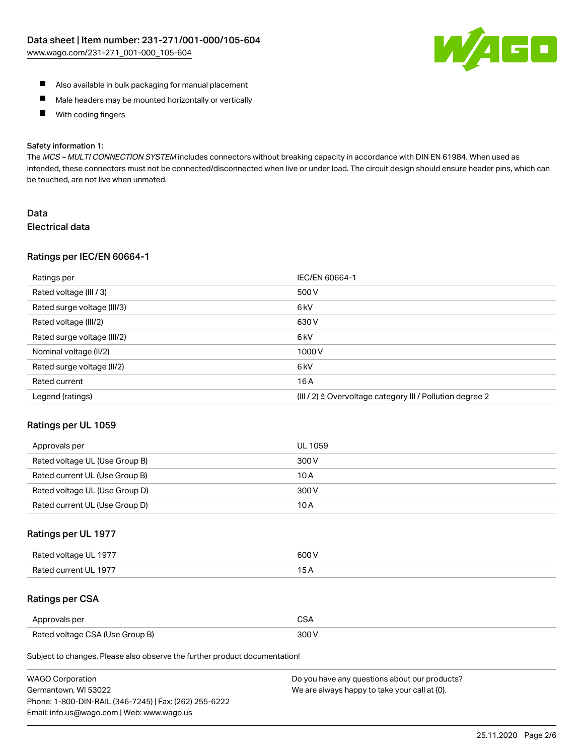

- Also available in bulk packaging for manual placement
- $\blacksquare$ Male headers may be mounted horizontally or vertically
- With coding fingers  $\blacksquare$

#### Safety information 1:

The MCS-MULTI CONNECTION SYSTEM includes connectors without breaking capacity in accordance with DIN EN 61984. When used as intended, these connectors must not be connected/disconnected when live or under load. The circuit design should ensure header pins, which can be touched, are not live when unmated.

## Data Electrical data

#### Ratings per IEC/EN 60664-1

| Ratings per                 | IEC/EN 60664-1                                            |
|-----------------------------|-----------------------------------------------------------|
| Rated voltage (III / 3)     | 500 V                                                     |
| Rated surge voltage (III/3) | 6 kV                                                      |
| Rated voltage (III/2)       | 630 V                                                     |
| Rated surge voltage (III/2) | 6 <sub>k</sub> V                                          |
| Nominal voltage (II/2)      | 1000V                                                     |
| Rated surge voltage (II/2)  | 6 <sub>k</sub> V                                          |
| Rated current               | 16A                                                       |
| Legend (ratings)            | (III / 2) ≙ Overvoltage category III / Pollution degree 2 |

#### Ratings per UL 1059

| Approvals per                  | UL 1059 |
|--------------------------------|---------|
| Rated voltage UL (Use Group B) | 300 V   |
| Rated current UL (Use Group B) | 10 A    |
| Rated voltage UL (Use Group D) | 300 V   |
| Rated current UL (Use Group D) | 10 A    |

## Ratings per UL 1977

| Rated voltage UL 1977 | 600 V         |
|-----------------------|---------------|
| Rated current UL 1977 | $\sim$ $\sim$ |

## Ratings per CSA

| Approvals per                   | ົ |
|---------------------------------|---|
| Rated voltage CSA (Use Group B) |   |

Subject to changes. Please also observe the further product documentation!

| <b>WAGO Corporation</b>                                | Do you have any questions about our products? |
|--------------------------------------------------------|-----------------------------------------------|
| Germantown, WI 53022                                   | We are always happy to take your call at {0}. |
| Phone: 1-800-DIN-RAIL (346-7245)   Fax: (262) 255-6222 |                                               |
| Email: info.us@wago.com   Web: www.wago.us             |                                               |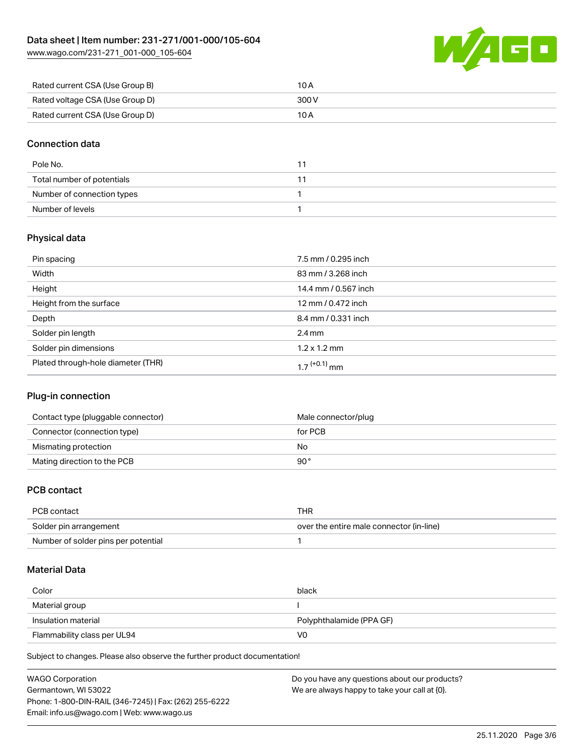[www.wago.com/231-271\\_001-000\\_105-604](http://www.wago.com/231-271_001-000_105-604)



| Rated current CSA (Use Group B) | 10 A  |
|---------------------------------|-------|
| Rated voltage CSA (Use Group D) | 300 V |
| Rated current CSA (Use Group D) | 10 A  |

## Connection data

| Pole No.                   |  |
|----------------------------|--|
| Total number of potentials |  |
| Number of connection types |  |
| Number of levels           |  |

## Physical data

| Pin spacing                        | 7.5 mm / 0.295 inch  |
|------------------------------------|----------------------|
| Width                              | 83 mm / 3.268 inch   |
| Height                             | 14.4 mm / 0.567 inch |
| Height from the surface            | 12 mm / 0.472 inch   |
| Depth                              | 8.4 mm / 0.331 inch  |
| Solder pin length                  | $2.4 \text{ mm}$     |
| Solder pin dimensions              | $1.2 \times 1.2$ mm  |
| Plated through-hole diameter (THR) | 1 7 $(+0.1)$ mm      |

## Plug-in connection

| Contact type (pluggable connector) | Male connector/plug |
|------------------------------------|---------------------|
| Connector (connection type)        | for PCB             |
| Mismating protection               | No                  |
| Mating direction to the PCB        | 90°                 |

## PCB contact

| PCB contact                         | THR                                      |
|-------------------------------------|------------------------------------------|
| Solder pin arrangement              | over the entire male connector (in-line) |
| Number of solder pins per potential |                                          |

#### Material Data

| Color                       | black                    |
|-----------------------------|--------------------------|
| Material group              |                          |
| Insulation material         | Polyphthalamide (PPA GF) |
| Flammability class per UL94 | VO                       |

Subject to changes. Please also observe the further product documentation!

| <b>WAGO Corporation</b>                                | Do you have any questions about our products? |
|--------------------------------------------------------|-----------------------------------------------|
| Germantown, WI 53022                                   | We are always happy to take your call at {0}. |
| Phone: 1-800-DIN-RAIL (346-7245)   Fax: (262) 255-6222 |                                               |
| Email: info.us@wago.com   Web: www.wago.us             |                                               |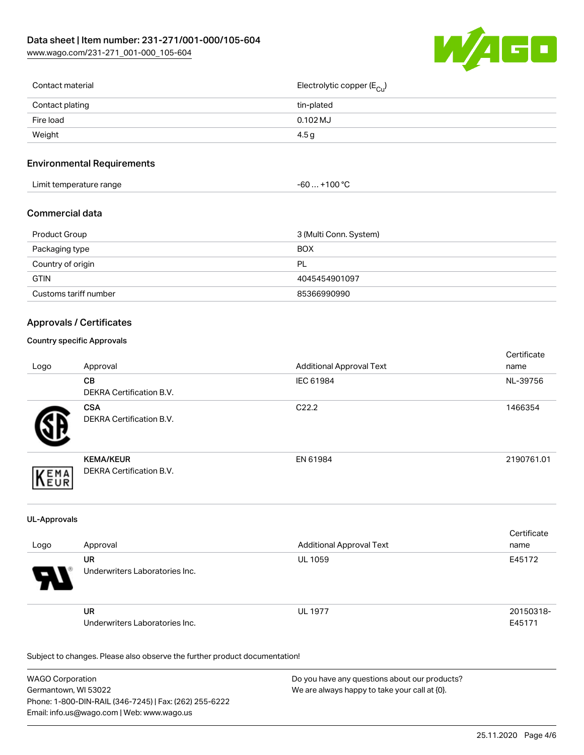

| Contact material | Electrolytic copper (E <sub>Cu</sub> ) |
|------------------|----------------------------------------|
| Contact plating  | tin-plated                             |
| Fire load        | 0.102 MJ                               |
| Weight           | 4.5g                                   |
|                  |                                        |

## Environmental Requirements

| Limit temperature range | $+100 °C$<br>-60  > |
|-------------------------|---------------------|
|-------------------------|---------------------|

### Commercial data

| Product Group         | 3 (Multi Conn. System) |
|-----------------------|------------------------|
| Packaging type        | <b>BOX</b>             |
| Country of origin     | PL                     |
| <b>GTIN</b>           | 4045454901097          |
| Customs tariff number | 85366990990            |

## Approvals / Certificates

#### Country specific Approvals

| Logo | Approval                                     | <b>Additional Approval Text</b> | Certificate<br>name |
|------|----------------------------------------------|---------------------------------|---------------------|
|      | <b>CB</b><br>DEKRA Certification B.V.        | IEC 61984                       | NL-39756            |
|      | <b>CSA</b><br>DEKRA Certification B.V.       | C <sub>22.2</sub>               | 1466354             |
| EMA  | <b>KEMA/KEUR</b><br>DEKRA Certification B.V. | EN 61984                        | 2190761.01          |

#### UL-Approvals

| Logo                  | Approval                             | <b>Additional Approval Text</b> | Certificate<br>name |
|-----------------------|--------------------------------------|---------------------------------|---------------------|
| $\boldsymbol{\theta}$ | UR<br>Underwriters Laboratories Inc. | <b>UL 1059</b>                  | E45172              |
|                       | UR<br>Underwriters Laboratories Inc. | <b>UL 1977</b>                  | 20150318-<br>E45171 |

Subject to changes. Please also observe the further product documentation!

| WAGO Corporation                                       | Do you have any questions about our products? |
|--------------------------------------------------------|-----------------------------------------------|
| Germantown, WI 53022                                   | We are always happy to take your call at {0}. |
| Phone: 1-800-DIN-RAIL (346-7245)   Fax: (262) 255-6222 |                                               |
| Email: info.us@wago.com   Web: www.wago.us             |                                               |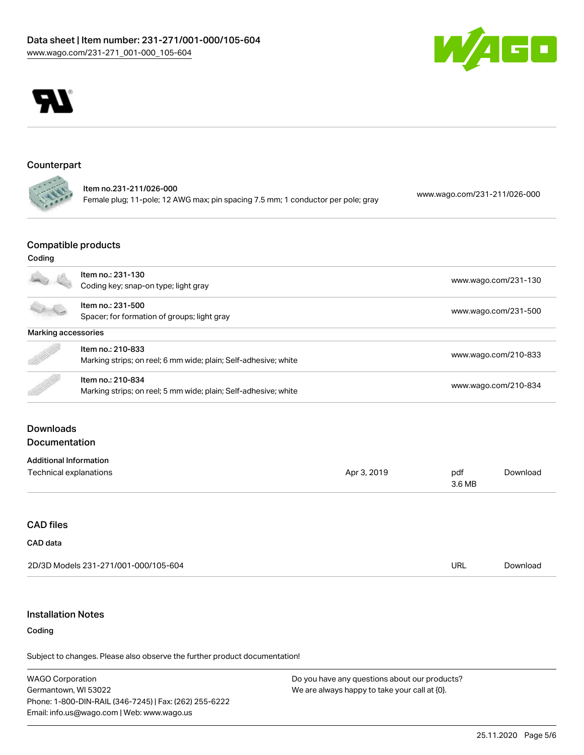



#### Counterpart

Item no.231-211/026-000 Female plug; 11-pole; 12 AWG max; pin spacing 7.5 mm; 1 conductor per pole; gray [www.wago.com/231-211/026-000](https://www.wago.com/231-211/026-000)

## Compatible products

## Coding

|                               | Item no.: 231-130                                               |             |               | www.wago.com/231-130 |  |
|-------------------------------|-----------------------------------------------------------------|-------------|---------------|----------------------|--|
|                               | Coding key; snap-on type; light gray                            |             |               |                      |  |
|                               | Item no.: 231-500                                               |             |               |                      |  |
|                               | Spacer; for formation of groups; light gray                     |             |               | www.wago.com/231-500 |  |
| Marking accessories           |                                                                 |             |               |                      |  |
|                               | Item no.: 210-833                                               |             |               |                      |  |
|                               | Marking strips; on reel; 6 mm wide; plain; Self-adhesive; white |             |               | www.wago.com/210-833 |  |
|                               | Item no.: 210-834                                               |             |               |                      |  |
|                               | Marking strips; on reel; 5 mm wide; plain; Self-adhesive; white |             |               | www.wago.com/210-834 |  |
| <b>Documentation</b>          |                                                                 |             |               |                      |  |
| <b>Additional Information</b> |                                                                 |             |               |                      |  |
| <b>Technical explanations</b> |                                                                 | Apr 3, 2019 | pdf<br>3.6 MB | Download             |  |
|                               |                                                                 |             |               |                      |  |
| <b>CAD files</b>              |                                                                 |             |               |                      |  |
| CAD data                      |                                                                 |             |               |                      |  |
|                               | 2D/3D Models 231-271/001-000/105-604                            |             | URL           | Download             |  |

## Installation Notes

#### Coding

Subject to changes. Please also observe the further product documentation!

WAGO Corporation Germantown, WI 53022 Phone: 1-800-DIN-RAIL (346-7245) | Fax: (262) 255-6222 Email: info.us@wago.com | Web: www.wago.us

Do you have any questions about our products? We are always happy to take your call at {0}.